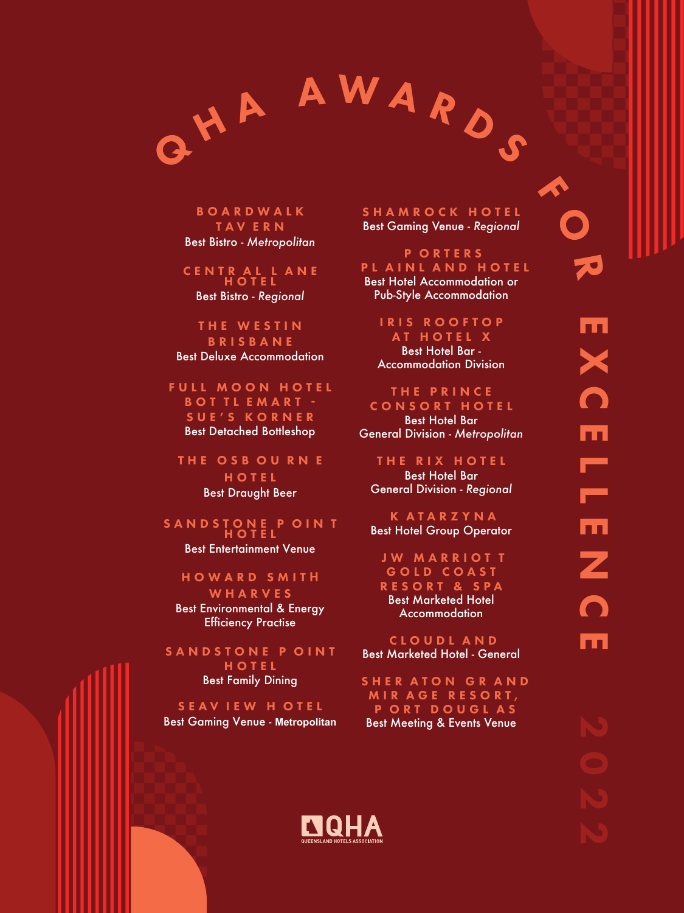

**BOARDWALK** T A V E R N Best Bistro - *Metropolitan*

CENTR A L L ANE H O T E L Best Bistro - *Regional*

THE WESTIN **B R I S B A N E** Best Deluxe Accommodation

FULL MOON HOTEL B O T T L E M A R T -SUE'S K O R N E R Best Detached Bottleshop

THE OSB OU RN E H O T E L Best Draught Beer

S A N D S TO N E POINT H O T E L Best Entertainment Venue

H O W ARD SMIT **H** WHARVES Best Environmental & Energy Efficiency Practise

SANDSTONE POINT H O T E L Best Family Dining

SEAVIEW HOTEL Best Gaming Venue - **Metropolitan** SHAMROCK HOTEL Best Gaming Venue - *Regional*

P O RTER S PL AINL AND HOTEL

Best Hotel Accommodation or Pub-Style Accommodation

IRIS ROOFTOP AT HOTEL X Best Hotel Bar - Accommodation Division

THE PRINCE CONSORT HOTEL Best Hotel Bar General Division - *Metropolitan*

THE RIX HOTEL Best Hotel Bar General Division - *Regional*

K ATARZYNA Best Hotel Group Operator

**JW MARRIOTT** G OLD CO AST RESORT & SPA Best Marketed Hotel **Accommodation** 

CLOUDL AND Best Marketed Hotel - General

SHER ATON GR AND MIR AGE RESORT, P ORT DOUGL AS Best Meeting & Events Venue



**A** 

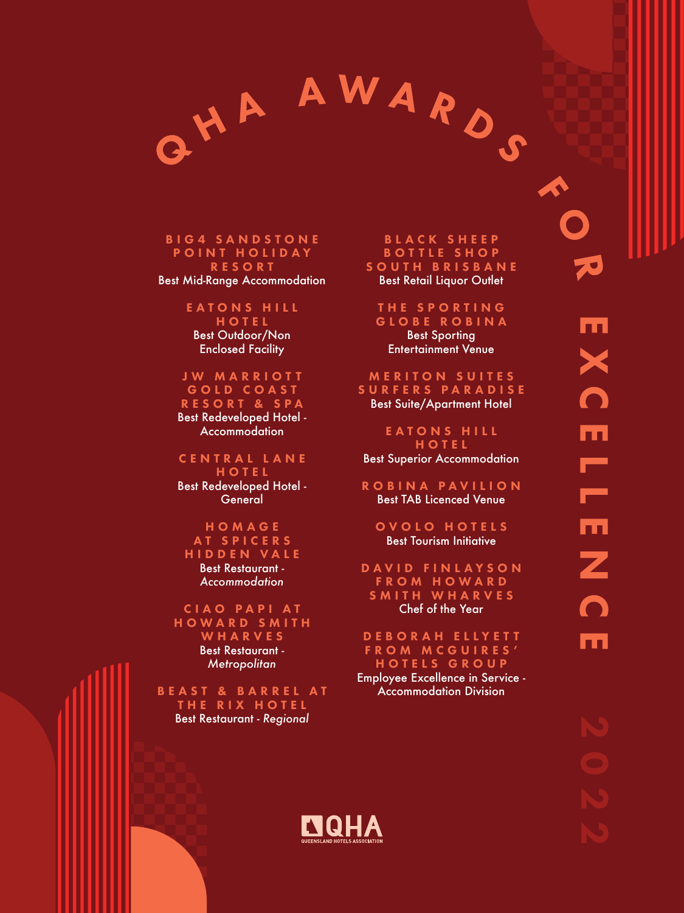

## **BIG4 SANDSTONE** POINT HOLIDAY RESORT

Best Mid-Range Accommodation

E A T O N S H I L L HOTEL Best Outdoor/Non Enclosed Facility

JW MARRIOTT GOLD COAST RESORT & SPA Best Redeveloped Hotel - **Accommodation** 

C E N T R A L L A N E HOTEL Best Redeveloped Hotel - **General** 

HOMAGE AT SPICERS HIDDEN VALE Best Restaurant - *Accommodation*

CIAO PAPI AT HOWARD SMITH WHARVES Best Restaurant - *Metropolitan*

BEAST & BARREL AT THE RIX HOTEL Best Restaurant - *Regional*

## B L A C K S H E E P BOTTLE SHOP SOUTH BRISBANE Best Retail Liquor Outlet

THE SPORTING GLOBE ROBINA Best Sporting Entertainment Venue

**MERITON SUITES** SURFERS PARADISE Best Suite/Apartment Hotel

E A T O N S H I L L HOTEL Best Superior Accommodation

ROBINA PAVILION Best TAB Licenced Venue

OVOLO HOTELS Best Tourism Initiative

D A V I D F I N L A Y S O N FROM HOWARD SMITH WHARVES Chef of the Year

DEBORAH ELLYETT FROM MCGUIRES' HOTELS GROUP Employee Excellence in Service - Accommodation Division



A